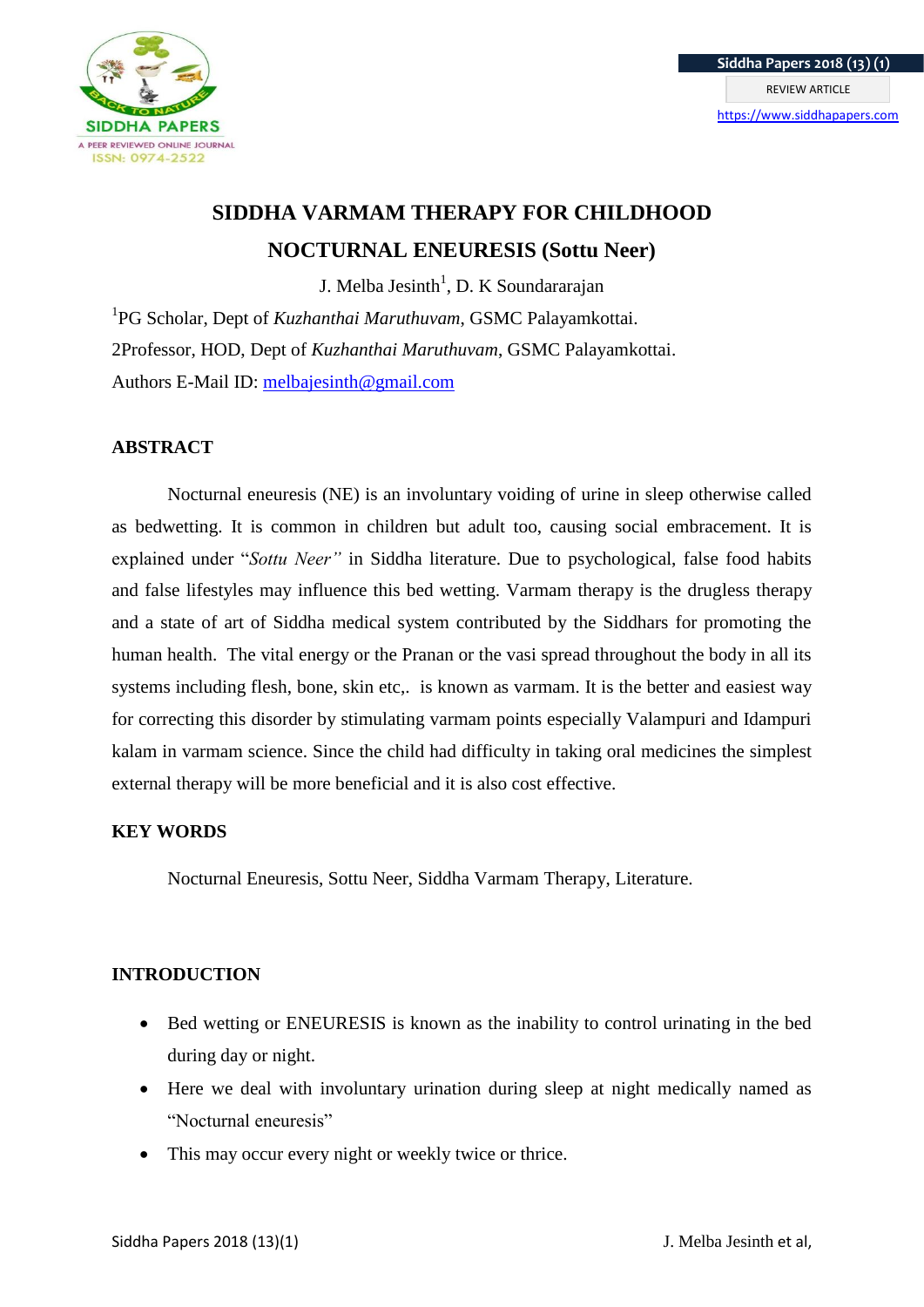

# **SIDDHA VARMAM THERAPY FOR CHILDHOOD NOCTURNAL ENEURESIS (Sottu Neer)**

J. Melba Jesinth<sup>1</sup>, D. K Soundararajan

<sup>1</sup>PG Scholar, Dept of *Kuzhanthai Maruthuvam*, GSMC Palayamkottai. 2Professor, HOD, Dept of *Kuzhanthai Maruthuvam*, GSMC Palayamkottai. Authors E-Mail ID: [melbajesinth@gmail.com](mailto:melbajesinth@gmail.com)

## **ABSTRACT**

Nocturnal eneuresis (NE) is an involuntary voiding of urine in sleep otherwise called as bedwetting. It is common in children but adult too, causing social embracement. It is explained under "*Sottu Neer"* in Siddha literature. Due to psychological, false food habits and false lifestyles may influence this bed wetting. Varmam therapy is the drugless therapy and a state of art of Siddha medical system contributed by the Siddhars for promoting the human health. The vital energy or the Pranan or the vasi spread throughout the body in all its systems including flesh, bone, skin etc,. is known as varmam. It is the better and easiest way for correcting this disorder by stimulating varmam points especially Valampuri and Idampuri kalam in varmam science. Since the child had difficulty in taking oral medicines the simplest external therapy will be more beneficial and it is also cost effective.

## **KEY WORDS**

Nocturnal Eneuresis, Sottu Neer, Siddha Varmam Therapy, Literature.

## **INTRODUCTION**

- Bed wetting or ENEURESIS is known as the inability to control urinating in the bed during day or night.
- Here we deal with involuntary urination during sleep at night medically named as "Nocturnal eneuresis"
- This may occur every night or weekly twice or thrice.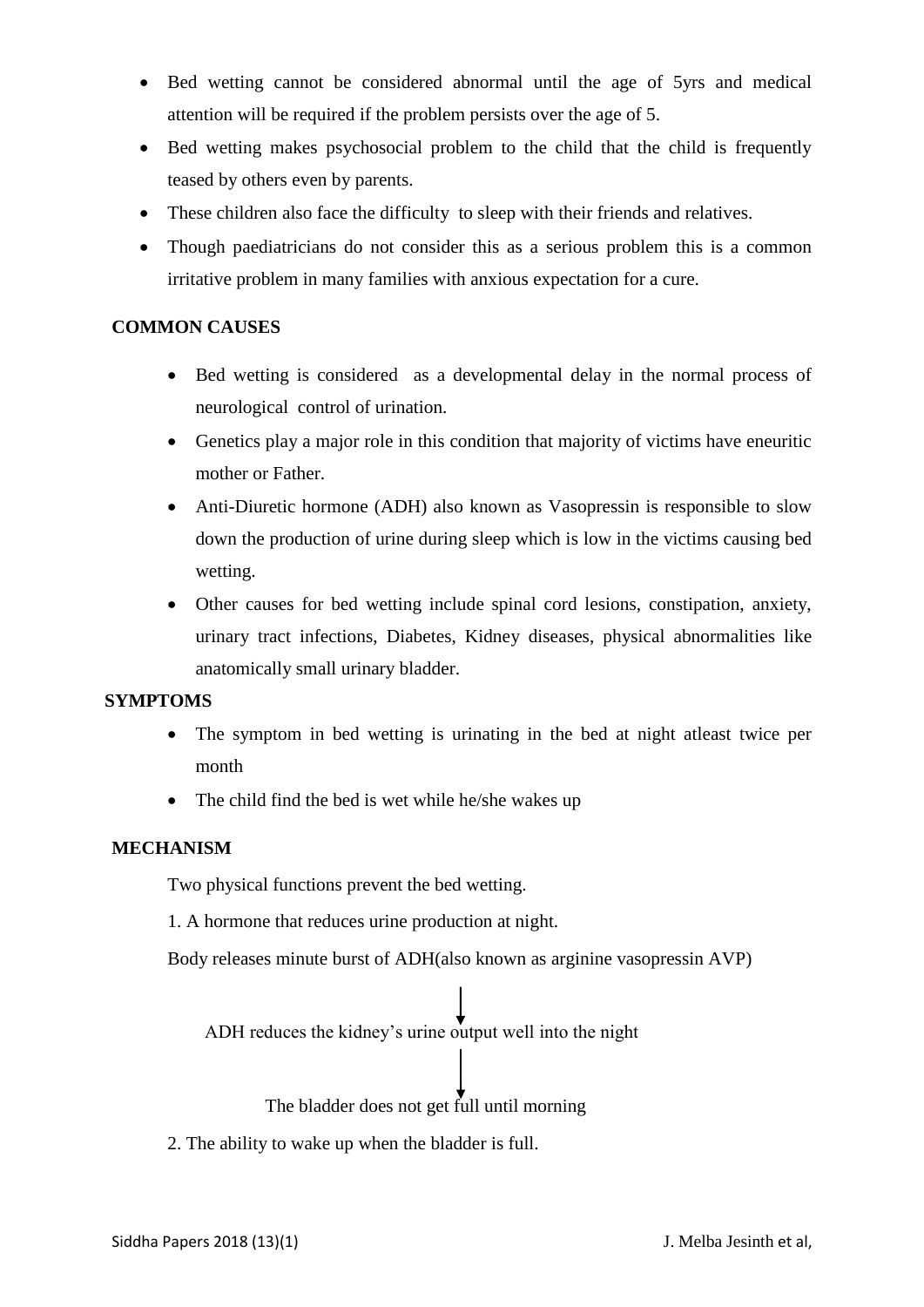- Bed wetting cannot be considered abnormal until the age of 5yrs and medical attention will be required if the problem persists over the age of 5.
- Bed wetting makes psychosocial problem to the child that the child is frequently teased by others even by parents.
- These children also face the difficulty to sleep with their friends and relatives.
- Though paediatricians do not consider this as a serious problem this is a common irritative problem in many families with anxious expectation for a cure.

# **COMMON CAUSES**

- Bed wetting is considered as a developmental delay in the normal process of neurological control of urination.
- Genetics play a major role in this condition that majority of victims have eneuritic mother or Father.
- Anti-Diuretic hormone (ADH) also known as Vasopressin is responsible to slow down the production of urine during sleep which is low in the victims causing bed wetting.
- Other causes for bed wetting include spinal cord lesions, constipation, anxiety, urinary tract infections, Diabetes, Kidney diseases, physical abnormalities like anatomically small urinary bladder.

## **SYMPTOMS**

- The symptom in bed wetting is urinating in the bed at night atleast twice per month
- The child find the bed is wet while he/she wakes up

## **MECHANISM**

Two physical functions prevent the bed wetting.

1. A hormone that reduces urine production at night.

Body releases minute burst of ADH(also known as arginine vasopressin AVP)

ADH reduces the kidney's urine output well into the night

The bladder does not get full until morning

2. The ability to wake up when the bladder is full.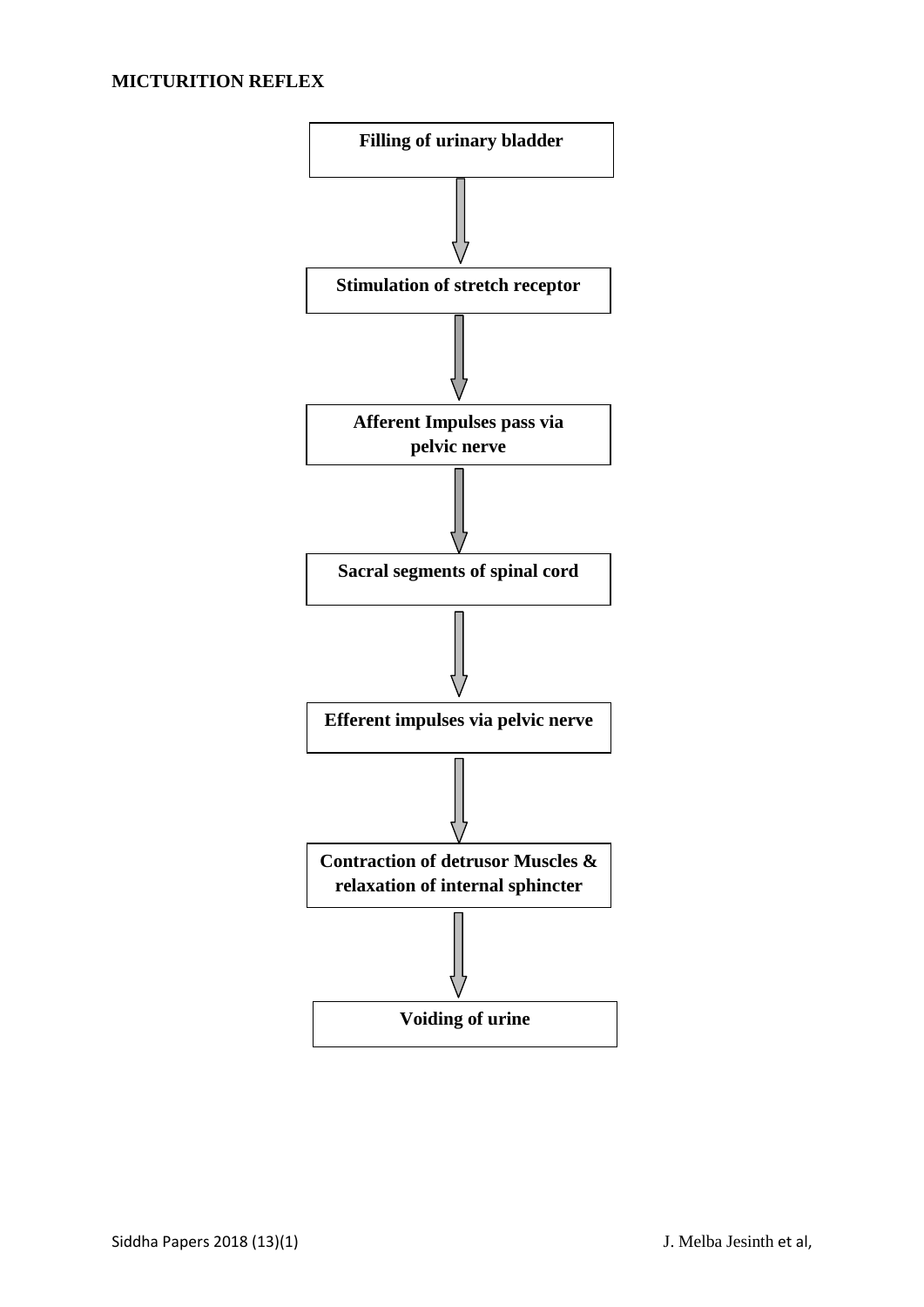## **MICTURITION REFLEX**

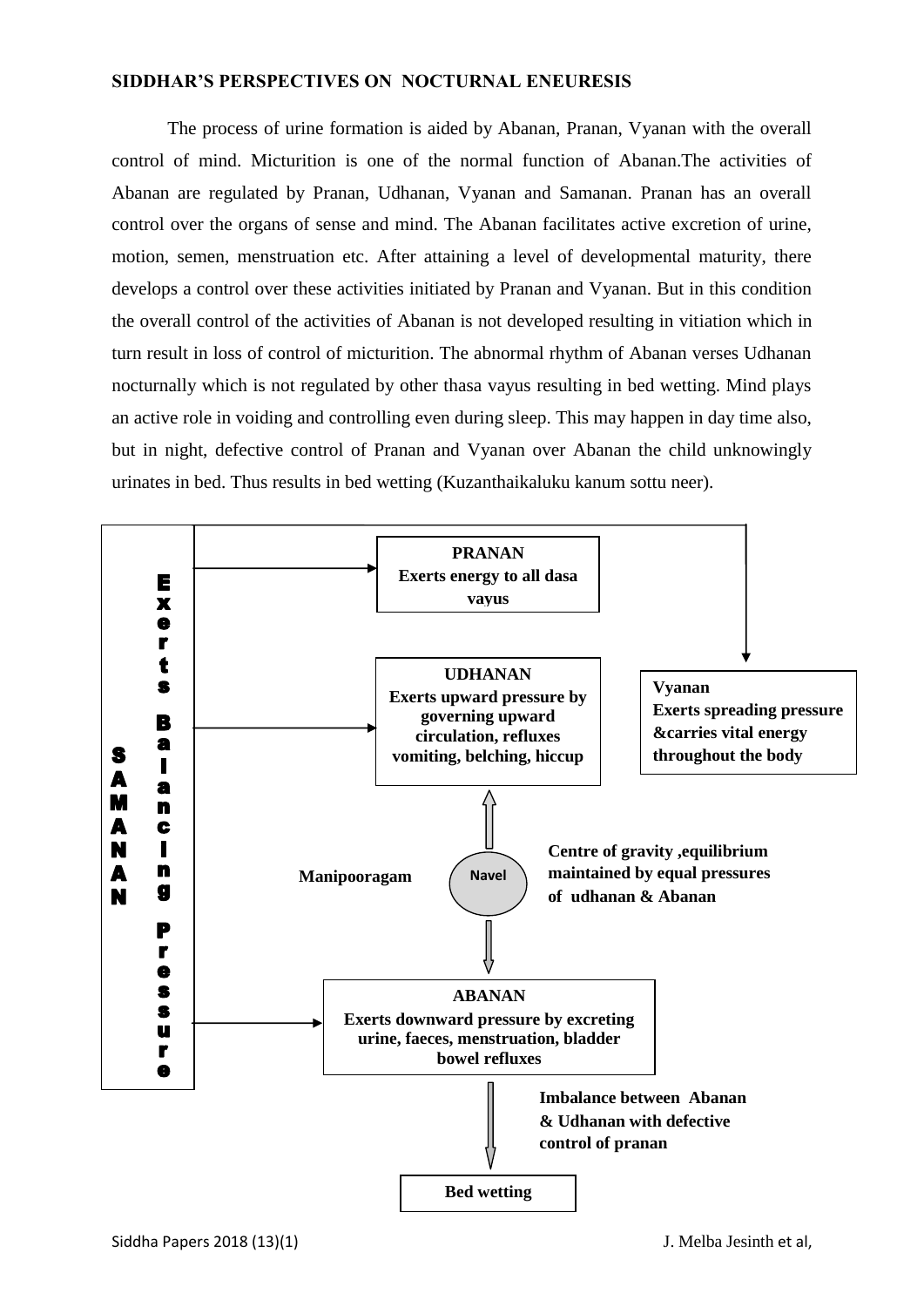#### **SIDDHAR'S PERSPECTIVES ON NOCTURNAL ENEURESIS**

The process of urine formation is aided by Abanan, Pranan, Vyanan with the overall control of mind. Micturition is one of the normal function of Abanan.The activities of Abanan are regulated by Pranan, Udhanan, Vyanan and Samanan. Pranan has an overall control over the organs of sense and mind. The Abanan facilitates active excretion of urine, motion, semen, menstruation etc. After attaining a level of developmental maturity, there develops a control over these activities initiated by Pranan and Vyanan. But in this condition the overall control of the activities of Abanan is not developed resulting in vitiation which in turn result in loss of control of micturition. The abnormal rhythm of Abanan verses Udhanan nocturnally which is not regulated by other thasa vayus resulting in bed wetting. Mind plays an active role in voiding and controlling even during sleep. This may happen in day time also, but in night, defective control of Pranan and Vyanan over Abanan the child unknowingly urinates in bed. Thus results in bed wetting (Kuzanthaikaluku kanum sottu neer).

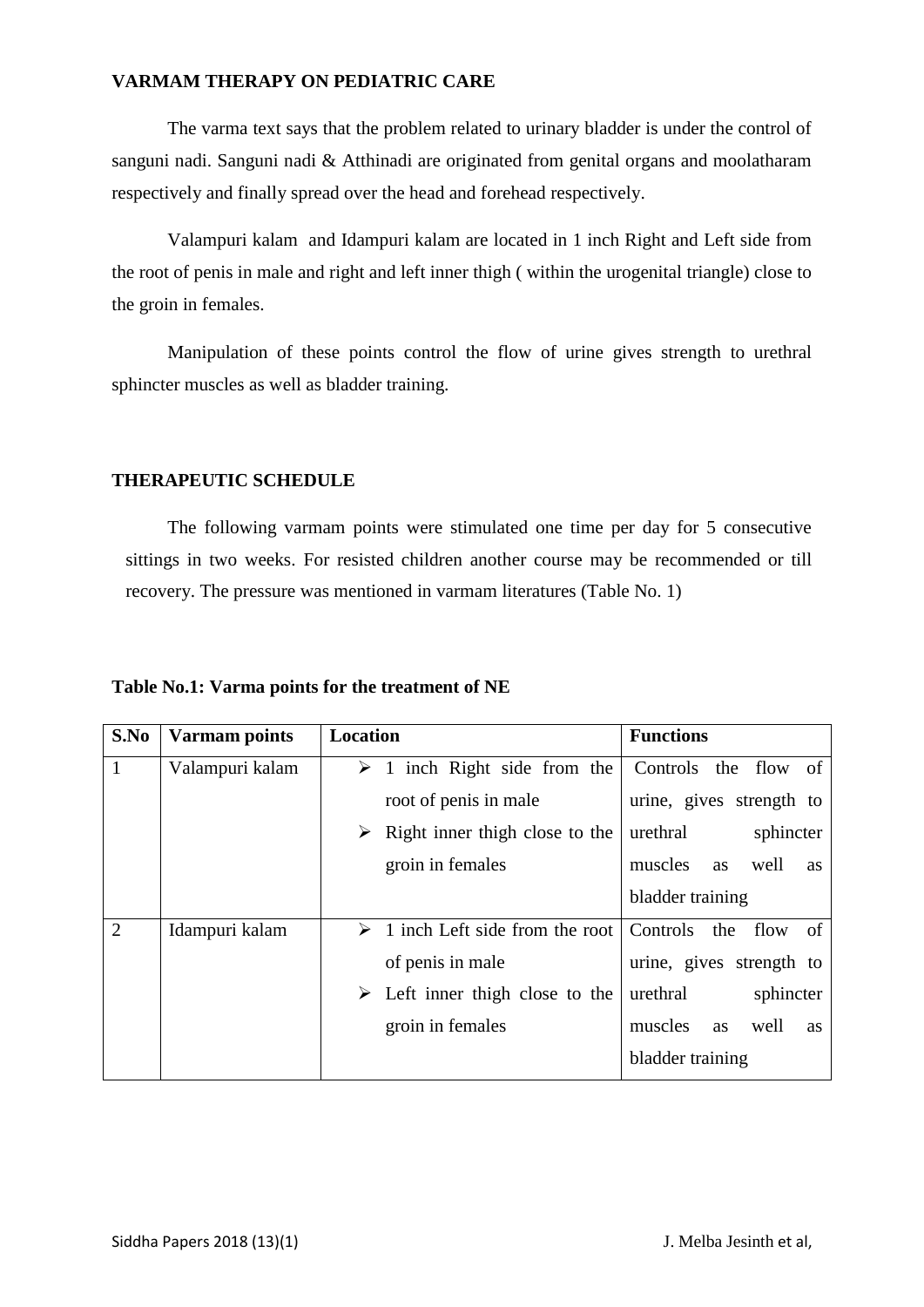#### **VARMAM THERAPY ON PEDIATRIC CARE**

The varma text says that the problem related to urinary bladder is under the control of sanguni nadi. Sanguni nadi & Atthinadi are originated from genital organs and moolatharam respectively and finally spread over the head and forehead respectively.

Valampuri kalam and Idampuri kalam are located in 1 inch Right and Left side from the root of penis in male and right and left inner thigh ( within the urogenital triangle) close to the groin in females.

Manipulation of these points control the flow of urine gives strength to urethral sphincter muscles as well as bladder training.

#### **THERAPEUTIC SCHEDULE**

The following varmam points were stimulated one time per day for 5 consecutive sittings in two weeks. For resisted children another course may be recommended or till recovery. The pressure was mentioned in varmam literatures (Table No. 1)

#### **Table No.1: Varma points for the treatment of NE**

| S.No           | <b>Varmam points</b> | <b>Location</b>                                | <b>Functions</b>                          |
|----------------|----------------------|------------------------------------------------|-------------------------------------------|
| $\mathbf{1}$   | Valampuri kalam      | $\geq 1$ inch Right side from the              | Controls the flow of                      |
|                |                      | root of penis in male                          | urine, gives strength to                  |
|                |                      | Right inner thigh close to the                 | urethral<br>sphincter                     |
|                |                      | groin in females                               | muscles<br>well<br><b>as</b><br><b>as</b> |
|                |                      |                                                | bladder training                          |
| $\overline{2}$ | Idampuri kalam       | $\geq 1$ inch Left side from the root          | Controls the<br>flow<br>- of              |
|                |                      | of penis in male                               | urine, gives strength to                  |
|                |                      | $\triangleright$ Left inner thigh close to the | urethral<br>sphincter                     |
|                |                      | groin in females                               | muscles<br>well<br><b>as</b><br><b>as</b> |
|                |                      |                                                | bladder training                          |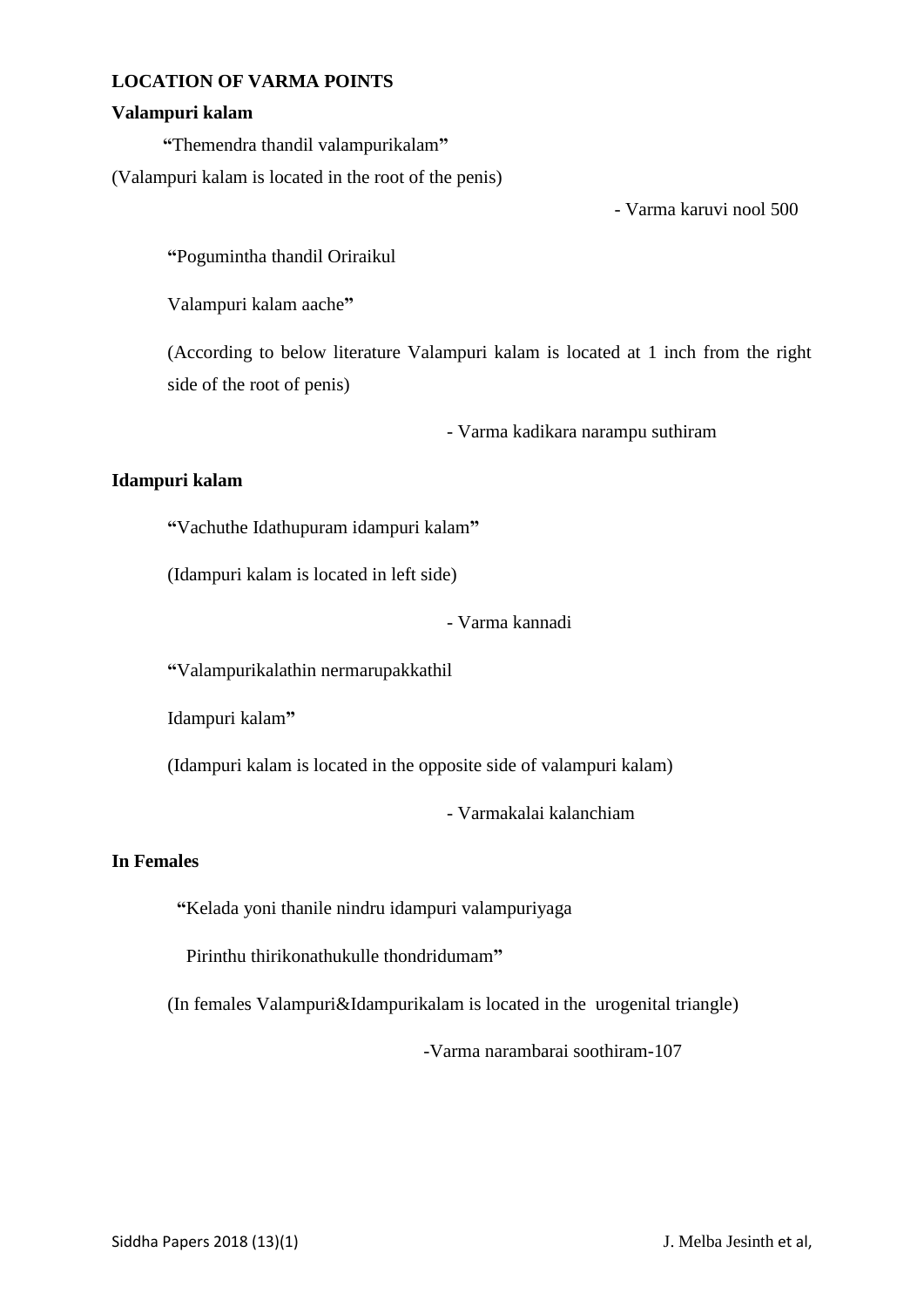#### **LOCATION OF VARMA POINTS**

#### **Valampuri kalam**

**"**Themendra thandil valampurikalam**"**

(Valampuri kalam is located in the root of the penis)

- Varma karuvi nool 500

**"**Pogumintha thandil Oriraikul

Valampuri kalam aache**"**

(According to below literature Valampuri kalam is located at 1 inch from the right side of the root of penis)

- Varma kadikara narampu suthiram

## **Idampuri kalam**

**"**Vachuthe Idathupuram idampuri kalam**"**

(Idampuri kalam is located in left side)

- Varma kannadi

**"**Valampurikalathin nermarupakkathil

Idampuri kalam**"**

(Idampuri kalam is located in the opposite side of valampuri kalam)

- Varmakalai kalanchiam

## **In Females**

**"**Kelada yoni thanile nindru idampuri valampuriyaga

Pirinthu thirikonathukulle thondridumam**"**

(In females Valampuri&Idampurikalam is located in the urogenital triangle)

-Varma narambarai soothiram-107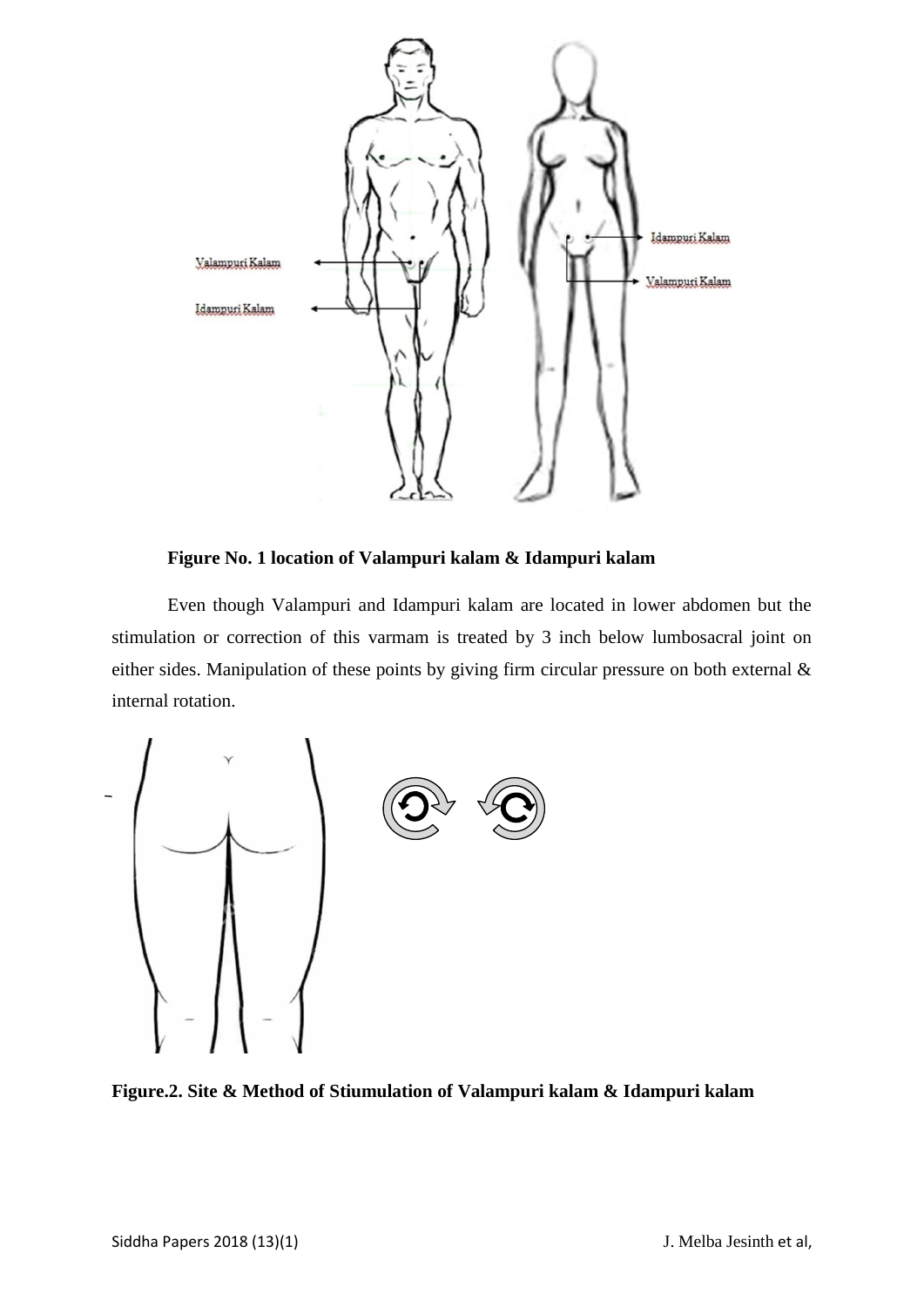

**Figure No. 1 location of Valampuri kalam & Idampuri kalam**

Even though Valampuri and Idampuri kalam are located in lower abdomen but the stimulation or correction of this varmam is treated by 3 inch below lumbosacral joint on either sides. Manipulation of these points by giving firm circular pressure on both external & internal rotation.



**Figure.2. Site & Method of Stiumulation of Valampuri kalam & Idampuri kalam**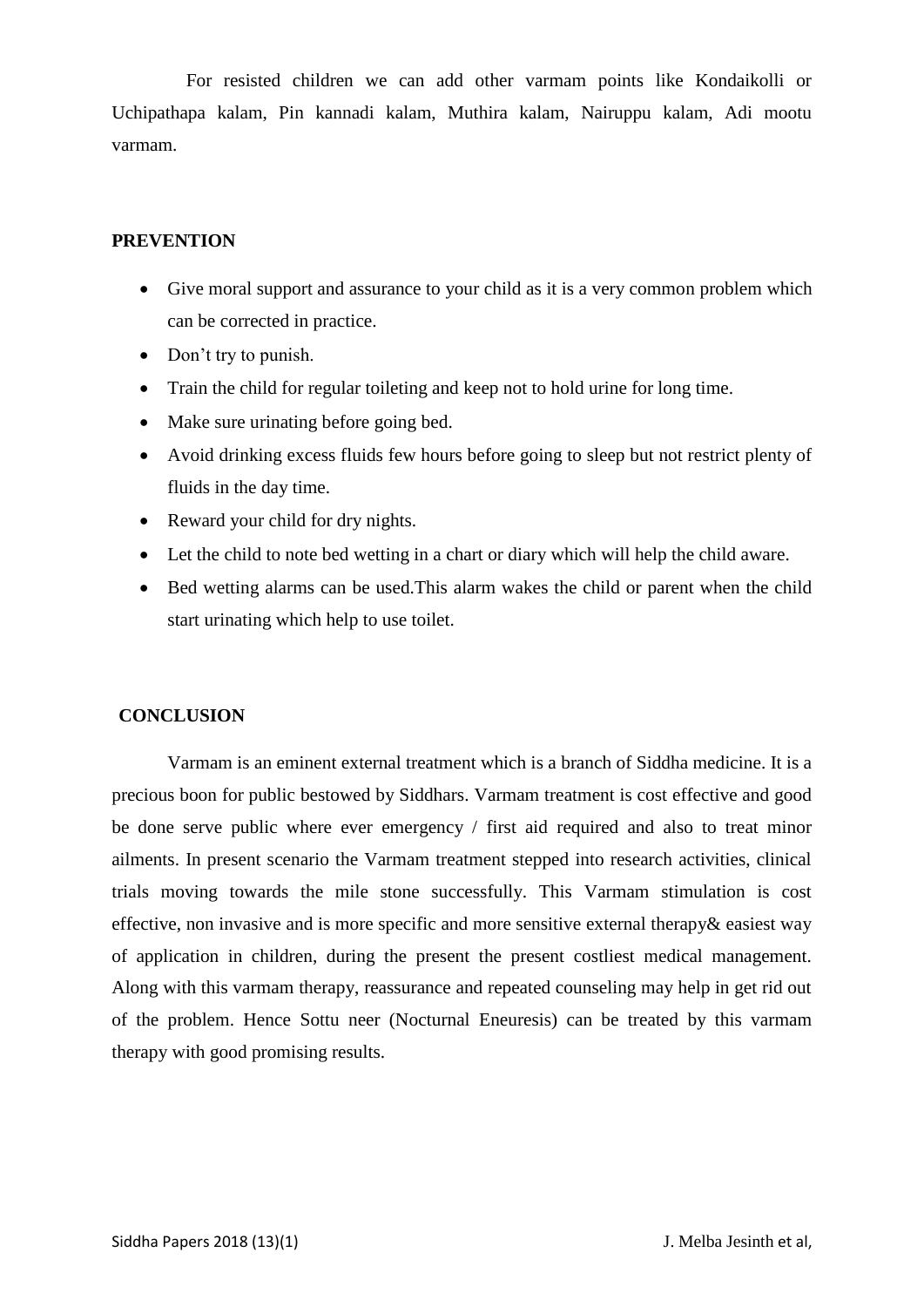For resisted children we can add other varmam points like Kondaikolli or Uchipathapa kalam, Pin kannadi kalam, Muthira kalam, Nairuppu kalam, Adi mootu varmam.

## **PREVENTION**

- Give moral support and assurance to your child as it is a very common problem which can be corrected in practice.
- Don't try to punish.
- Train the child for regular toileting and keep not to hold urine for long time.
- Make sure urinating before going bed.
- Avoid drinking excess fluids few hours before going to sleep but not restrict plenty of fluids in the day time.
- Reward your child for dry nights.
- Let the child to note bed wetting in a chart or diary which will help the child aware.
- Bed wetting alarms can be used.This alarm wakes the child or parent when the child start urinating which help to use toilet.

#### **CONCLUSION**

Varmam is an eminent external treatment which is a branch of Siddha medicine. It is a precious boon for public bestowed by Siddhars. Varmam treatment is cost effective and good be done serve public where ever emergency / first aid required and also to treat minor ailments. In present scenario the Varmam treatment stepped into research activities, clinical trials moving towards the mile stone successfully. This Varmam stimulation is cost effective, non invasive and is more specific and more sensitive external therapy& easiest way of application in children, during the present the present costliest medical management. Along with this varmam therapy, reassurance and repeated counseling may help in get rid out of the problem. Hence Sottu neer (Nocturnal Eneuresis) can be treated by this varmam therapy with good promising results.